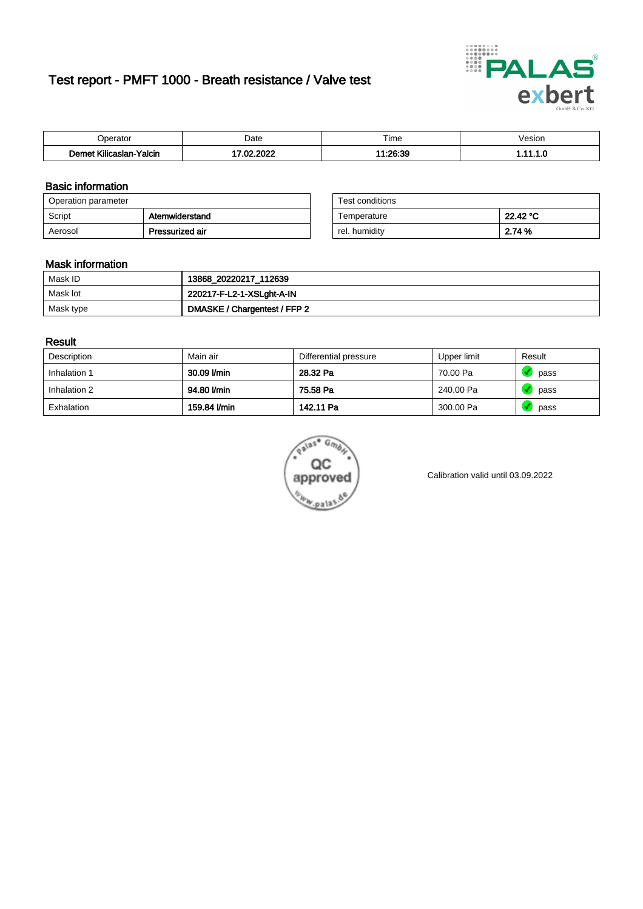# Test report - PMFT 1000 - Breath resistance / Valve test



| Joerator                           | Date             | $- \cdot$<br>Гіmе | esion |
|------------------------------------|------------------|-------------------|-------|
| .<br>Yalcin<br>⊿slan-`<br>∴∧Ilicae | nong<br>ຸດຕ<br>w | 1.00.90<br>u.oc   | .     |

### Basic information

| Operation parameter |                 | Test conditions |          |
|---------------------|-----------------|-----------------|----------|
| Script              | Atemwiderstand  | Temperature     | 22.42 °C |
| Aerosol             | Pressurized air | rel. humidity   | 2.74 %   |

| Test conditions |          |
|-----------------|----------|
| Temperature     | 22.42 °C |
| rel. humidity   | 2.74 %   |

### Mask information

| Mask ID   | 13868_20220217_112639        |
|-----------|------------------------------|
| Mask lot  | 220217-F-L2-1-XSLght-A-IN    |
| Mask type | DMASKE / Chargentest / FFP 2 |

### Result

| Description  | Main air     | Differential pressure | Upper limit | Result |
|--------------|--------------|-----------------------|-------------|--------|
| Inhalation 1 | 30.09 l/min  | 28.32 Pa              | 70.00 Pa    | pass   |
| Inhalation 2 | 94.80 l/min  | 75.58 Pa              | 240.00 Pa   | pass   |
| Exhalation   | 159.84 I/min | 142.11 Pa             | 300.00 Pa   | pass   |



Calibration valid until 03.09.2022